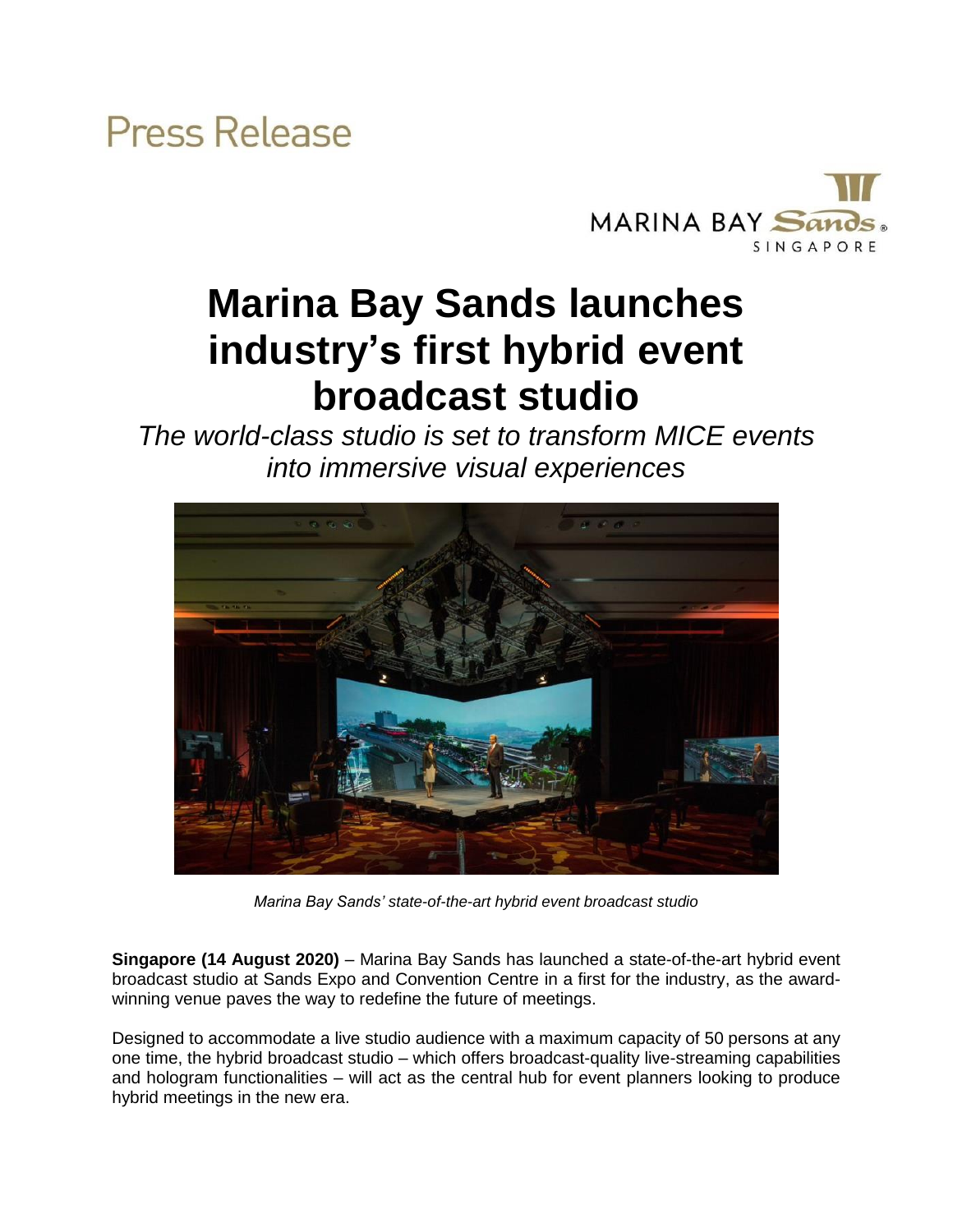

## **Marina Bay Sands launches industry's first hybrid event broadcast studio**

*The world-class studio is set to transform MICE events into immersive visual experiences*



*Marina Bay Sands' state-of-the-art hybrid event broadcast studio*

**Singapore (14 August 2020)** – Marina Bay Sands has launched a state-of-the-art hybrid event broadcast studio at Sands Expo and Convention Centre in a first for the industry, as the awardwinning venue paves the way to redefine the future of meetings.

Designed to accommodate a live studio audience with a maximum capacity of 50 persons at any one time, the hybrid broadcast studio – which offers broadcast-quality live-streaming capabilities and hologram functionalities – will act as the central hub for event planners looking to produce hybrid meetings in the new era.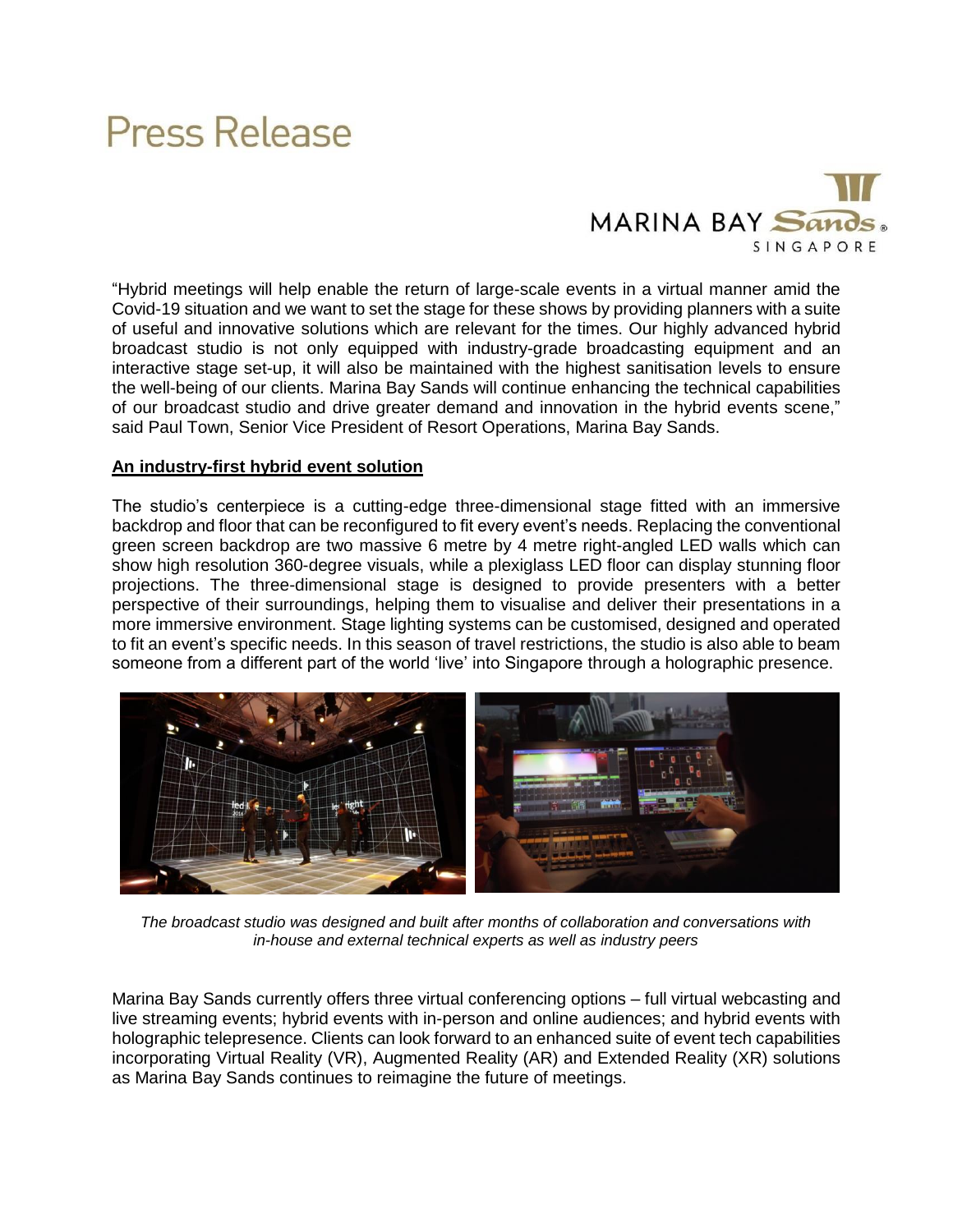

"Hybrid meetings will help enable the return of large-scale events in a virtual manner amid the Covid-19 situation and we want to set the stage for these shows by providing planners with a suite of useful and innovative solutions which are relevant for the times. Our highly advanced hybrid broadcast studio is not only equipped with industry-grade broadcasting equipment and an interactive stage set-up, it will also be maintained with the highest sanitisation levels to ensure the well-being of our clients. Marina Bay Sands will continue enhancing the technical capabilities of our broadcast studio and drive greater demand and innovation in the hybrid events scene," said Paul Town, Senior Vice President of Resort Operations, Marina Bay Sands.

### **An industry-first hybrid event solution**

The studio's centerpiece is a cutting-edge three-dimensional stage fitted with an immersive backdrop and floor that can be reconfigured to fit every event's needs. Replacing the conventional green screen backdrop are two massive 6 metre by 4 metre right-angled LED walls which can show high resolution 360-degree visuals, while a plexiglass LED floor can display stunning floor projections. The three-dimensional stage is designed to provide presenters with a better perspective of their surroundings, helping them to visualise and deliver their presentations in a more immersive environment. Stage lighting systems can be customised, designed and operated to fit an event's specific needs. In this season of travel restrictions, the studio is also able to beam someone from a different part of the world 'live' into Singapore through a holographic presence.



*The broadcast studio was designed and built after months of collaboration and conversations with in-house and external technical experts as well as industry peers*

Marina Bay Sands currently offers three virtual conferencing options – full virtual webcasting and live streaming events; hybrid events with in-person and online audiences; and hybrid events with holographic telepresence. Clients can look forward to an enhanced suite of event tech capabilities incorporating Virtual Reality (VR), Augmented Reality (AR) and Extended Reality (XR) solutions as Marina Bay Sands continues to reimagine the future of meetings.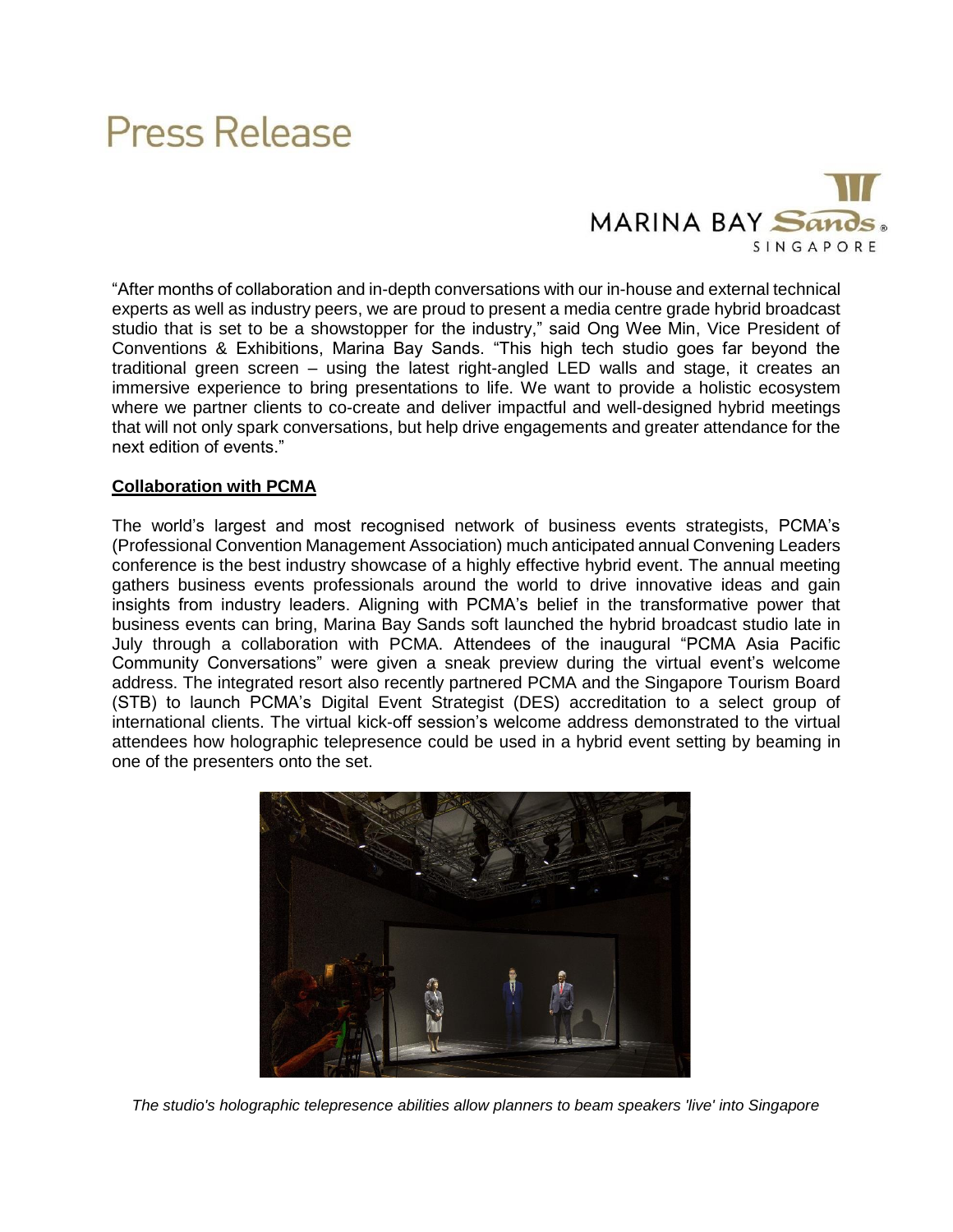

"After months of collaboration and in-depth conversations with our in-house and external technical experts as well as industry peers, we are proud to present a media centre grade hybrid broadcast studio that is set to be a showstopper for the industry," said Ong Wee Min, Vice President of Conventions & Exhibitions, Marina Bay Sands. "This high tech studio goes far beyond the traditional green screen – using the latest right-angled LED walls and stage, it creates an immersive experience to bring presentations to life. We want to provide a holistic ecosystem where we partner clients to co-create and deliver impactful and well-designed hybrid meetings that will not only spark conversations, but help drive engagements and greater attendance for the next edition of events."

### **Collaboration with PCMA**

The world's largest and most recognised network of business events strategists, PCMA's (Professional Convention Management Association) much anticipated annual Convening Leaders conference is the best industry showcase of a highly effective hybrid event. The annual meeting gathers business events professionals around the world to drive innovative ideas and gain insights from industry leaders. Aligning with PCMA's belief in the transformative power that business events can bring, Marina Bay Sands soft launched the hybrid broadcast studio late in July through a collaboration with PCMA. Attendees of the inaugural "PCMA Asia Pacific Community Conversations" were given a sneak preview during the virtual event's welcome address. The integrated resort also recently partnered PCMA and the Singapore Tourism Board (STB) to launch PCMA's Digital Event Strategist (DES) accreditation to a select group of international clients. The virtual kick-off session's welcome address demonstrated to the virtual attendees how holographic telepresence could be used in a hybrid event setting by beaming in one of the presenters onto the set.



*The studio's holographic telepresence abilities allow planners to beam speakers 'live' into Singapore*